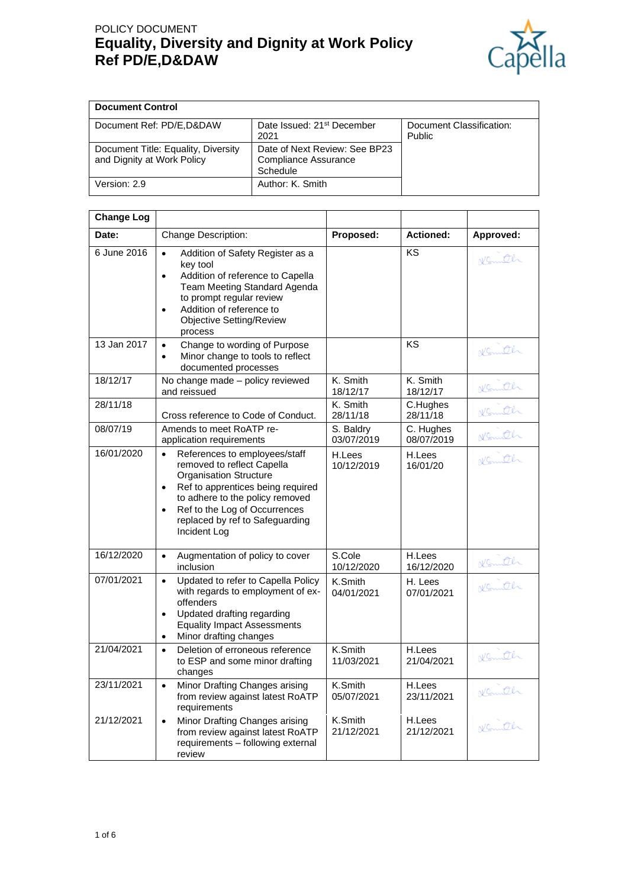# POLICY DOCUMENT **Equality, Diversity and Dignity at Work Policy Ref PD/E,D&DAW**



| <b>Document Control</b>                                           |                                                                   |                                    |
|-------------------------------------------------------------------|-------------------------------------------------------------------|------------------------------------|
| Document Ref: PD/E, D& DAW                                        | Date Issued: 21 <sup>st</sup> December<br>2021                    | Document Classification:<br>Public |
| Document Title: Equality, Diversity<br>and Dignity at Work Policy | Date of Next Review: See BP23<br>Compliance Assurance<br>Schedule |                                    |
| Version: 2.9                                                      | Author: K. Smith                                                  |                                    |

| <b>Change Log</b> |                                                                                                                                                                                                                                                                                    |                         |                         |           |
|-------------------|------------------------------------------------------------------------------------------------------------------------------------------------------------------------------------------------------------------------------------------------------------------------------------|-------------------------|-------------------------|-----------|
| Date:             | Change Description:                                                                                                                                                                                                                                                                | Proposed:               | <b>Actioned:</b>        | Approved: |
| 6 June 2016       | Addition of Safety Register as a<br>$\bullet$<br>key tool<br>Addition of reference to Capella<br>$\bullet$<br>Team Meeting Standard Agenda<br>to prompt regular review<br>Addition of reference to<br>$\bullet$<br><b>Objective Setting/Review</b><br>process                      |                         | KS                      | Komth     |
| 13 Jan 2017       | Change to wording of Purpose<br>$\bullet$<br>Minor change to tools to reflect<br>$\bullet$<br>documented processes                                                                                                                                                                 |                         | KS                      | Komth     |
| 18/12/17          | No change made - policy reviewed<br>and reissued                                                                                                                                                                                                                                   | K. Smith<br>18/12/17    | K. Smith<br>18/12/17    | Komth     |
| 28/11/18          | Cross reference to Code of Conduct.                                                                                                                                                                                                                                                | K. Smith<br>28/11/18    | C.Hughes<br>28/11/18    | Komith    |
| 08/07/19          | Amends to meet RoATP re-<br>application requirements                                                                                                                                                                                                                               | S. Baldry<br>03/07/2019 | C. Hughes<br>08/07/2019 | Komth     |
| 16/01/2020        | References to employees/staff<br>removed to reflect Capella<br><b>Organisation Structure</b><br>Ref to apprentices being required<br>$\bullet$<br>to adhere to the policy removed<br>Ref to the Log of Occurrences<br>$\bullet$<br>replaced by ref to Safeguarding<br>Incident Log | H.Lees<br>10/12/2019    | H.Lees<br>16/01/20      | Normitch  |
| 16/12/2020        | Augmentation of policy to cover<br>$\bullet$<br>inclusion                                                                                                                                                                                                                          | S.Cole<br>10/12/2020    | H.Lees<br>16/12/2020    | Komth     |
| 07/01/2021        | Updated to refer to Capella Policy<br>$\bullet$<br>with regards to employment of ex-<br>offenders<br>Updated drafting regarding<br>$\bullet$<br><b>Equality Impact Assessments</b><br>Minor drafting changes                                                                       | K.Smith<br>04/01/2021   | H. Lees<br>07/01/2021   | Komith    |
| 21/04/2021        | Deletion of erroneous reference<br>$\bullet$<br>to ESP and some minor drafting<br>changes                                                                                                                                                                                          | K.Smith<br>11/03/2021   | H.Lees<br>21/04/2021    | Komith    |
| 23/11/2021        | Minor Drafting Changes arising<br>$\bullet$<br>from review against latest RoATP<br>requirements                                                                                                                                                                                    | K.Smith<br>05/07/2021   | H.Lees<br>23/11/2021    | Nomith    |
| 21/12/2021        | Minor Drafting Changes arising<br>$\bullet$<br>from review against latest RoATP<br>requirements - following external<br>review                                                                                                                                                     | K.Smith<br>21/12/2021   | H.Lees<br>21/12/2021    | Komth     |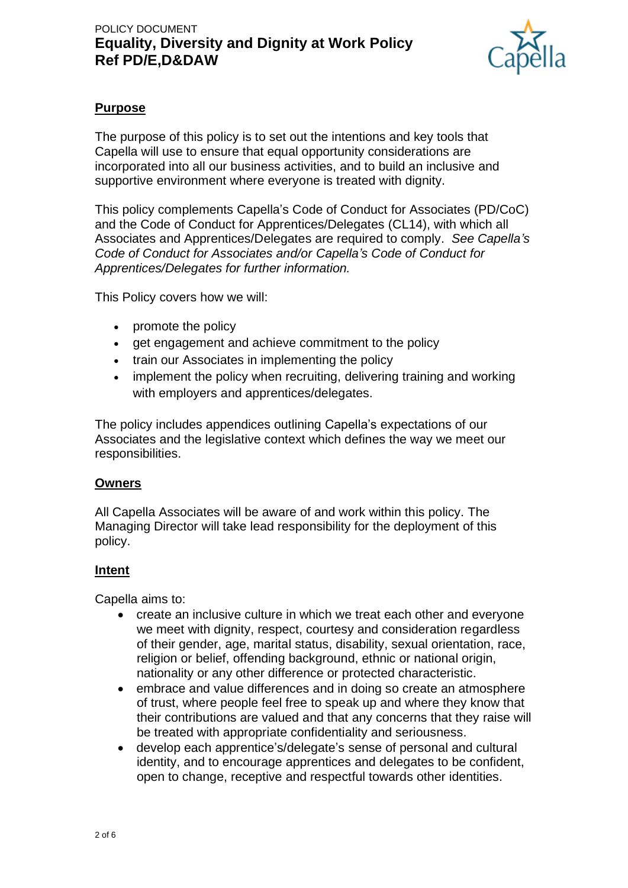

## **Purpose**

The purpose of this policy is to set out the intentions and key tools that Capella will use to ensure that equal opportunity considerations are incorporated into all our business activities, and to build an inclusive and supportive environment where everyone is treated with dignity.

This policy complements Capella's Code of Conduct for Associates (PD/CoC) and the Code of Conduct for Apprentices/Delegates (CL14), with which all Associates and Apprentices/Delegates are required to comply. *See Capella's Code of Conduct for Associates and/or Capella's Code of Conduct for Apprentices/Delegates for further information.*

This Policy covers how we will:

- promote the policy
- get engagement and achieve commitment to the policy
- train our Associates in implementing the policy
- implement the policy when recruiting, delivering training and working with employers and apprentices/delegates.

The policy includes appendices outlining Capella's expectations of our Associates and the legislative context which defines the way we meet our responsibilities.

#### **Owners**

All Capella Associates will be aware of and work within this policy. The Managing Director will take lead responsibility for the deployment of this policy.

### **Intent**

Capella aims to:

- create an inclusive culture in which we treat each other and everyone we meet with dignity, respect, courtesy and consideration regardless of their gender, age, marital status, disability, sexual orientation, race, religion or belief, offending background, ethnic or national origin, nationality or any other difference or protected characteristic.
- embrace and value differences and in doing so create an atmosphere of trust, where people feel free to speak up and where they know that their contributions are valued and that any concerns that they raise will be treated with appropriate confidentiality and seriousness.
- develop each apprentice's/delegate's sense of personal and cultural identity, and to encourage apprentices and delegates to be confident, open to change, receptive and respectful towards other identities.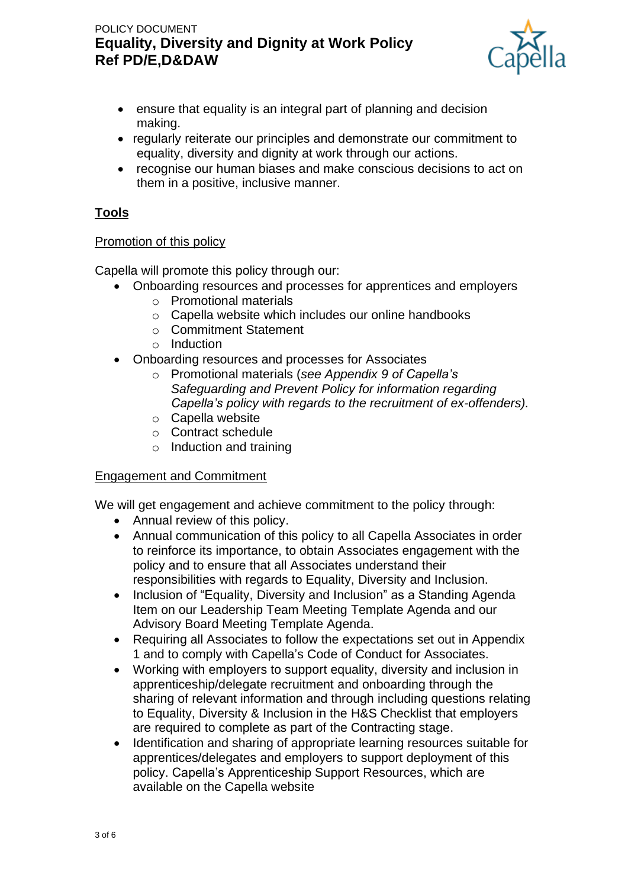# POLICY DOCUMENT **Equality, Diversity and Dignity at Work Policy Ref PD/E,D&DAW**



- ensure that equality is an integral part of planning and decision making.
- regularly reiterate our principles and demonstrate our commitment to equality, diversity and dignity at work through our actions.
- recognise our human biases and make conscious decisions to act on them in a positive, inclusive manner.

## **Tools**

#### Promotion of this policy

Capella will promote this policy through our:

- Onboarding resources and processes for apprentices and employers
	- o Promotional materials
	- o Capella website which includes our online handbooks
	- o Commitment Statement
	- o Induction
- Onboarding resources and processes for Associates
	- o Promotional materials (*see Appendix 9 of Capella's Safeguarding and Prevent Policy for information regarding Capella's policy with regards to the recruitment of ex-offenders).*
	- o Capella website
	- o Contract schedule
	- $\circ$  Induction and training

### Engagement and Commitment

We will get engagement and achieve commitment to the policy through:

- Annual review of this policy.
- Annual communication of this policy to all Capella Associates in order to reinforce its importance, to obtain Associates engagement with the policy and to ensure that all Associates understand their responsibilities with regards to Equality, Diversity and Inclusion.
- Inclusion of "Equality, Diversity and Inclusion" as a Standing Agenda Item on our Leadership Team Meeting Template Agenda and our Advisory Board Meeting Template Agenda.
- Requiring all Associates to follow the expectations set out in Appendix 1 and to comply with Capella's Code of Conduct for Associates.
- Working with employers to support equality, diversity and inclusion in apprenticeship/delegate recruitment and onboarding through the sharing of relevant information and through including questions relating to Equality, Diversity & Inclusion in the H&S Checklist that employers are required to complete as part of the Contracting stage.
- Identification and sharing of appropriate learning resources suitable for apprentices/delegates and employers to support deployment of this policy. Capella's Apprenticeship Support Resources, which are available on the Capella website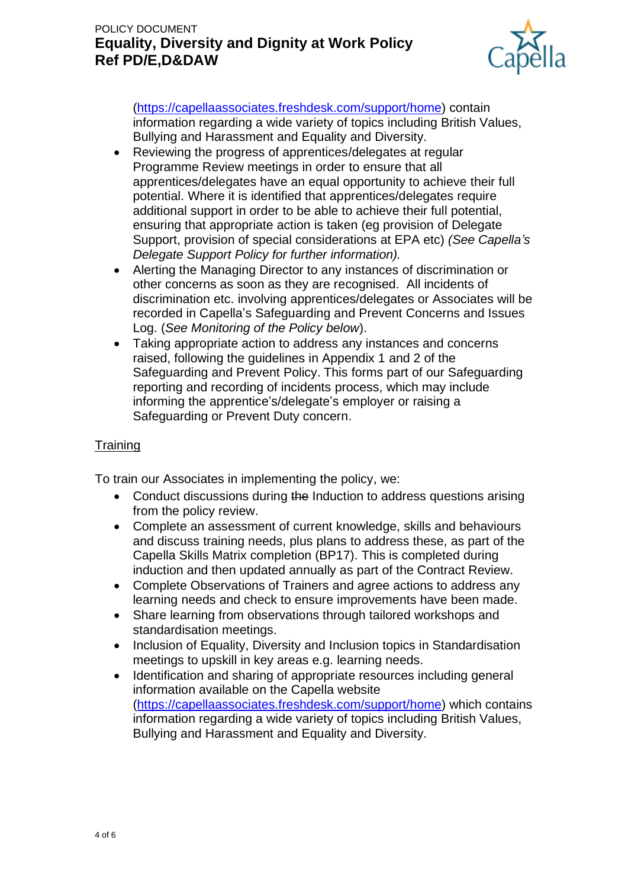# POLICY DOCUMENT **Equality, Diversity and Dignity at Work Policy Ref PD/E,D&DAW**



[\(https://capellaassociates.freshdesk.com/support/home\)](https://capellaassociates.freshdesk.com/support/home) contain information regarding a wide variety of topics including British Values, Bullying and Harassment and Equality and Diversity.

- Reviewing the progress of apprentices/delegates at regular Programme Review meetings in order to ensure that all apprentices/delegates have an equal opportunity to achieve their full potential. Where it is identified that apprentices/delegates require additional support in order to be able to achieve their full potential, ensuring that appropriate action is taken (eg provision of Delegate Support, provision of special considerations at EPA etc) *(See Capella's Delegate Support Policy for further information).*
- Alerting the Managing Director to any instances of discrimination or other concerns as soon as they are recognised. All incidents of discrimination etc. involving apprentices/delegates or Associates will be recorded in Capella's Safeguarding and Prevent Concerns and Issues Log. (*See Monitoring of the Policy below*).
- Taking appropriate action to address any instances and concerns raised, following the guidelines in Appendix 1 and 2 of the Safeguarding and Prevent Policy. This forms part of our Safeguarding reporting and recording of incidents process, which may include informing the apprentice's/delegate's employer or raising a Safeguarding or Prevent Duty concern.

### **Training**

To train our Associates in implementing the policy, we:

- Conduct discussions during the Induction to address questions arising from the policy review.
- Complete an assessment of current knowledge, skills and behaviours and discuss training needs, plus plans to address these, as part of the Capella Skills Matrix completion (BP17). This is completed during induction and then updated annually as part of the Contract Review.
- Complete Observations of Trainers and agree actions to address any learning needs and check to ensure improvements have been made.
- Share learning from observations through tailored workshops and standardisation meetings.
- Inclusion of Equality, Diversity and Inclusion topics in Standardisation meetings to upskill in key areas e.g. learning needs.
- Identification and sharing of appropriate resources including general information available on the Capella website [\(https://capellaassociates.freshdesk.com/support/home\)](https://capellaassociates.freshdesk.com/support/home) which contains information regarding a wide variety of topics including British Values, Bullying and Harassment and Equality and Diversity.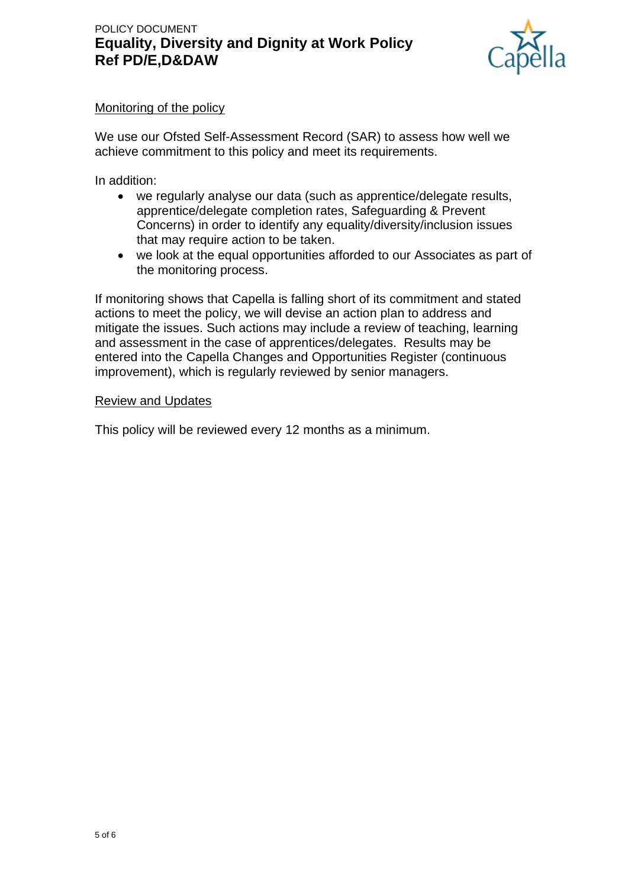

### Monitoring of the policy

We use our Ofsted Self-Assessment Record (SAR) to assess how well we achieve commitment to this policy and meet its requirements.

In addition:

- we regularly analyse our data (such as apprentice/delegate results, apprentice/delegate completion rates, Safeguarding & Prevent Concerns) in order to identify any equality/diversity/inclusion issues that may require action to be taken.
- we look at the equal opportunities afforded to our Associates as part of the monitoring process.

If monitoring shows that Capella is falling short of its commitment and stated actions to meet the policy, we will devise an action plan to address and mitigate the issues. Such actions may include a review of teaching, learning and assessment in the case of apprentices/delegates. Results may be entered into the Capella Changes and Opportunities Register (continuous improvement), which is regularly reviewed by senior managers.

#### Review and Updates

This policy will be reviewed every 12 months as a minimum.